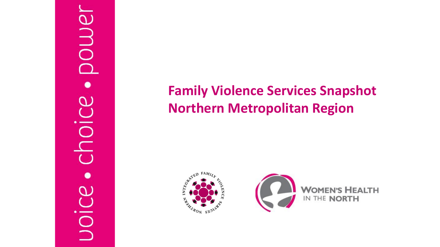# ower  $\sigma$  $\bar{0}$ joi

#### **Family Violence Services Snapshot Northern Metropolitan Region**

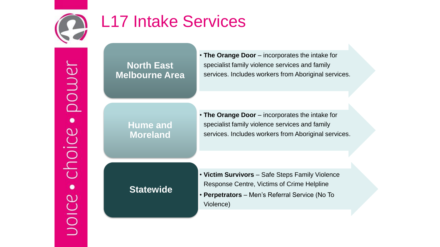

### L17 Intake Services

**North East Melbourne Area** • **The Orange Door** – incorporates the intake for specialist family violence services and family services. Includes workers from Aboriginal services.

**Hume and Moreland**

• **The Orange Door** – incorporates the intake for specialist family violence services and family services. Includes workers from Aboriginal services.

**Statewide**

• **Victim Survivors** – Safe Steps Family Violence Response Centre, Victims of Crime Helpline • **Perpetrators** – Men's Referral Service (No To Violence)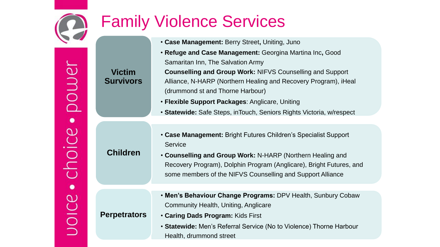

## Family Violence Services

- **Case Management:** Berry Street**,** Uniting, Juno
- **Refuge and Case Management:** Georgina Martina Inc**,** Good Samaritan Inn, The Salvation Army
- **Counselling and Group Work:** NIFVS Counselling and Support Alliance, N-HARP (Northern Healing and Recovery Program), iHeal (drummond st and Thorne Harbour)
- **Flexible Support Packages**: Anglicare, Uniting
- **Statewide:** Safe Steps, inTouch, Seniors Rights Victoria, w/respect
- **Case Management:** Bright Futures Children's Specialist Support **Service**
- **Counselling and Group Work:** N-HARP (Northern Healing and Recovery Program), Dolphin Program (Anglicare), Bright Futures, and some members of the NIFVS Counselling and Support Alliance
- **Men's Behaviour Change Programs:** DPV Health, Sunbury Cobaw Community Health, Uniting, Anglicare
- **Caring Dads Program:** Kids First
	- **Statewide:** Men's Referral Service (No to Violence) Thorne Harbour Health, drummond street

**Victim Survivors**

**Children**

**Perpetrators**